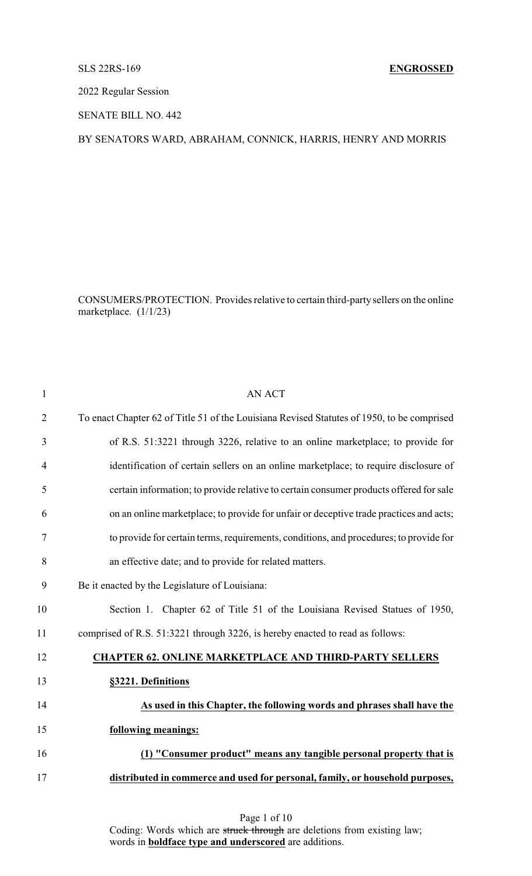## SLS 22RS-169 **ENGROSSED**

2022 Regular Session

SENATE BILL NO. 442

## BY SENATORS WARD, ABRAHAM, CONNICK, HARRIS, HENRY AND MORRIS

CONSUMERS/PROTECTION. Provides relative to certain third-party sellers on the online marketplace. (1/1/23)

| $\mathbf{1}$   | <b>AN ACT</b>                                                                              |
|----------------|--------------------------------------------------------------------------------------------|
| $\overline{2}$ | To enact Chapter 62 of Title 51 of the Louisiana Revised Statutes of 1950, to be comprised |
| 3              | of R.S. 51:3221 through 3226, relative to an online marketplace; to provide for            |
| 4              | identification of certain sellers on an online marketplace; to require disclosure of       |
| 5              | certain information; to provide relative to certain consumer products offered for sale     |
| 6              | on an online marketplace; to provide for unfair or deceptive trade practices and acts;     |
| 7              | to provide for certain terms, requirements, conditions, and procedures; to provide for     |
| 8              | an effective date; and to provide for related matters.                                     |
| 9              | Be it enacted by the Legislature of Louisiana:                                             |
| 10             | Section 1. Chapter 62 of Title 51 of the Louisiana Revised Statues of 1950,                |
| 11             | comprised of R.S. 51:3221 through 3226, is hereby enacted to read as follows:              |
| 12             | <b>CHAPTER 62. ONLINE MARKETPLACE AND THIRD-PARTY SELLERS</b>                              |
| 13             | §3221. Definitions                                                                         |
| 14             | As used in this Chapter, the following words and phrases shall have the                    |
| 15             | following meanings:                                                                        |
| 16             | (1) "Consumer product" means any tangible personal property that is                        |
| 17             | distributed in commerce and used for personal, family, or household purposes,              |
|                |                                                                                            |

Coding: Words which are struck through are deletions from existing law; words in **boldface type and underscored** are additions.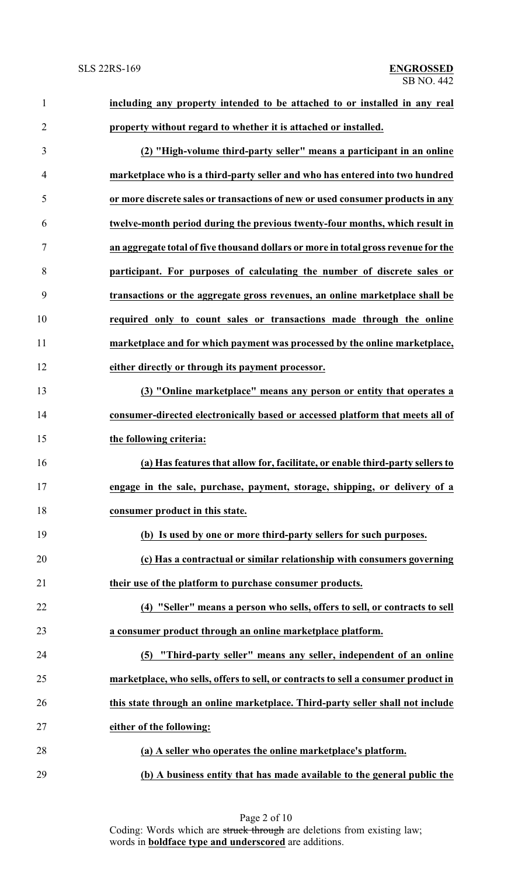| $\mathbf{1}$   | including any property intended to be attached to or installed in any real         |
|----------------|------------------------------------------------------------------------------------|
| $\overline{2}$ | property without regard to whether it is attached or installed.                    |
| 3              | (2) "High-volume third-party seller" means a participant in an online              |
| 4              | marketplace who is a third-party seller and who has entered into two hundred       |
| 5              | or more discrete sales or transactions of new or used consumer products in any     |
| 6              | twelve-month period during the previous twenty-four months, which result in        |
| 7              | an aggregate total of five thousand dollars or more in total gross revenue for the |
| 8              | participant. For purposes of calculating the number of discrete sales or           |
| 9              | transactions or the aggregate gross revenues, an online marketplace shall be       |
| 10             | required only to count sales or transactions made through the online               |
| 11             | marketplace and for which payment was processed by the online marketplace,         |
| 12             | either directly or through its payment processor.                                  |
| 13             | (3) "Online marketplace" means any person or entity that operates a                |
| 14             | consumer-directed electronically based or accessed platform that meets all of      |
| 15             | the following criteria:                                                            |
| 16             | (a) Has features that allow for, facilitate, or enable third-party sellers to      |
| 17             | engage in the sale, purchase, payment, storage, shipping, or delivery of a         |
| 18             | consumer product in this state.                                                    |
| 19             | (b) Is used by one or more third-party sellers for such purposes.                  |
| 20             | (c) Has a contractual or similar relationship with consumers governing             |
| 21             | their use of the platform to purchase consumer products.                           |
| 22             | (4) "Seller" means a person who sells, offers to sell, or contracts to sell        |
| 23             | a consumer product through an online marketplace platform.                         |
| 24             | "Third-party seller" means any seller, independent of an online<br>(5)             |
| 25             | marketplace, who sells, offers to sell, or contracts to sell a consumer product in |
| 26             | this state through an online marketplace. Third-party seller shall not include     |
| 27             | either of the following:                                                           |
| 28             | (a) A seller who operates the online marketplace's platform.                       |
| 29             | (b) A business entity that has made available to the general public the            |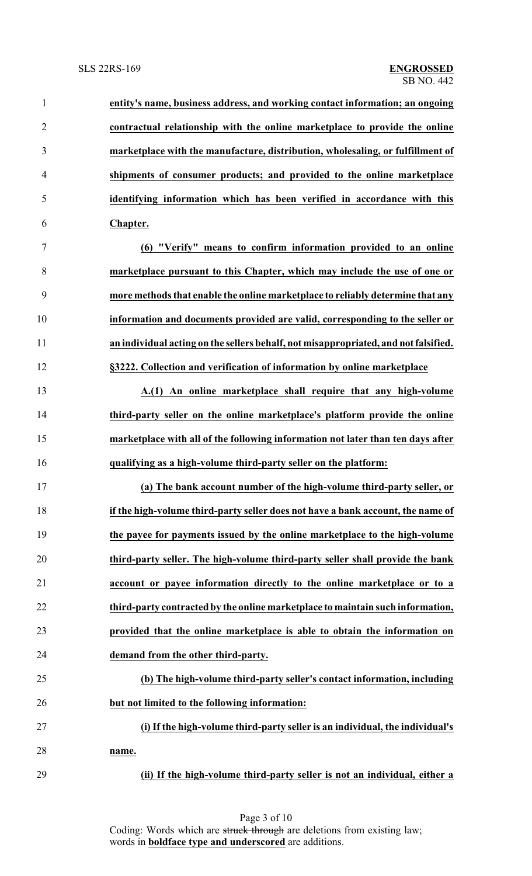| $\mathbf{1}$   | entity's name, business address, and working contact information; an ongoing        |
|----------------|-------------------------------------------------------------------------------------|
| $\overline{2}$ | contractual relationship with the online marketplace to provide the online          |
| 3              | marketplace with the manufacture, distribution, wholesaling, or fulfillment of      |
| $\overline{4}$ | shipments of consumer products; and provided to the online marketplace              |
| 5              | identifying information which has been verified in accordance with this             |
| 6              | Chapter.                                                                            |
| 7              | (6) "Verify" means to confirm information provided to an online                     |
| 8              | marketplace pursuant to this Chapter, which may include the use of one or           |
| 9              | more methods that enable the online marketplace to reliably determine that any      |
| 10             | information and documents provided are valid, corresponding to the seller or        |
| 11             | an individual acting on the sellers behalf, not misappropriated, and not falsified. |
| 12             | §3222. Collection and verification of information by online marketplace             |
| 13             | A.(1) An online marketplace shall require that any high-volume                      |
| 14             | third-party seller on the online marketplace's platform provide the online          |
| 15             | marketplace with all of the following information not later than ten days after     |
| 16             | qualifying as a high-volume third-party seller on the platform:                     |
| 17             | (a) The bank account number of the high-volume third-party seller, or               |
| 18             | if the high-volume third-party seller does not have a bank account, the name of     |
| 19             | the payee for payments issued by the online marketplace to the high-volume          |
| 20             | third-party seller. The high-volume third-party seller shall provide the bank       |
| 21             | account or payee information directly to the online marketplace or to a             |
| 22             | third-party contracted by the online marketplace to maintain such information,      |
| 23             | provided that the online marketplace is able to obtain the information on           |
| 24             | demand from the other third-party.                                                  |
| 25             | (b) The high-volume third-party seller's contact information, including             |
| 26             | but not limited to the following information:                                       |
| 27             | (i) If the high-volume third-party seller is an individual, the individual's        |
| 28             | name.                                                                               |
| 29             | (ii) If the high-volume third-party seller is not an individual, either a           |

Page 3 of 10 Coding: Words which are struck through are deletions from existing law; words in **boldface type and underscored** are additions.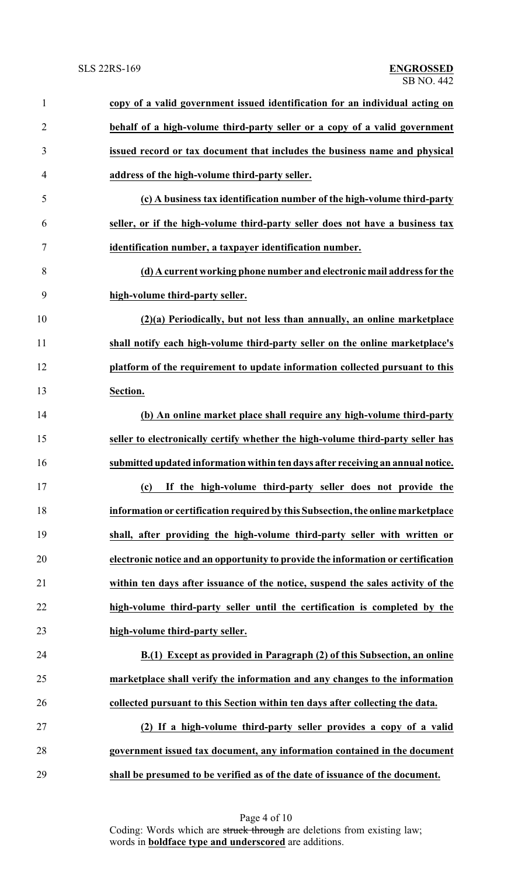| 1              | copy of a valid government issued identification for an individual acting on     |
|----------------|----------------------------------------------------------------------------------|
| $\overline{2}$ | behalf of a high-volume third-party seller or a copy of a valid government       |
| 3              | issued record or tax document that includes the business name and physical       |
| $\overline{4}$ | address of the high-volume third-party seller.                                   |
| 5              | (c) A business tax identification number of the high-volume third-party          |
| 6              | seller, or if the high-volume third-party seller does not have a business tax    |
| 7              | identification number, a taxpayer identification number.                         |
| 8              | (d) A current working phone number and electronic mail address for the           |
| 9              | high-volume third-party seller.                                                  |
| 10             | (2)(a) Periodically, but not less than annually, an online marketplace           |
| 11             | shall notify each high-volume third-party seller on the online marketplace's     |
| 12             | platform of the requirement to update information collected pursuant to this     |
| 13             | Section.                                                                         |
| 14             | (b) An online market place shall require any high-volume third-party             |
| 15             | seller to electronically certify whether the high-volume third-party seller has  |
| 16             | submitted updated information within ten days after receiving an annual notice.  |
| 17             | (c) If the high-volume third-party seller does not provide the                   |
| 18             | information or certification required by this Subsection, the online marketplace |
| 19             | shall, after providing the high-volume third-party seller with written or        |
| 20             | electronic notice and an opportunity to provide the information or certification |
| 21             | within ten days after issuance of the notice, suspend the sales activity of the  |
| 22             | high-volume third-party seller until the certification is completed by the       |
| 23             | high-volume third-party seller.                                                  |
| 24             | B.(1) Except as provided in Paragraph (2) of this Subsection, an online          |
| 25             | marketplace shall verify the information and any changes to the information      |
| 26             | collected pursuant to this Section within ten days after collecting the data.    |
| 27             | (2) If a high-volume third-party seller provides a copy of a valid               |
| 28             | government issued tax document, any information contained in the document        |
| 29             | shall be presumed to be verified as of the date of issuance of the document.     |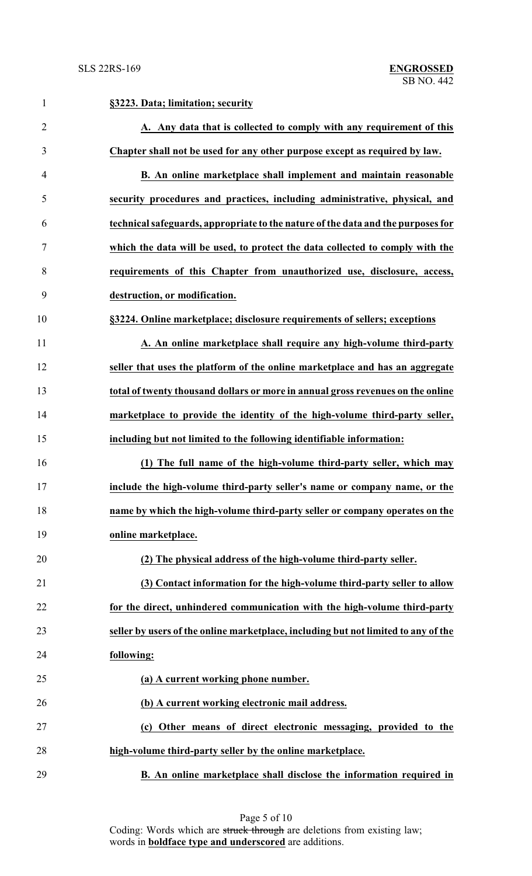| $\mathbf{1}$   | §3223. Data; limitation; security                                                  |
|----------------|------------------------------------------------------------------------------------|
| $\overline{2}$ | A. Any data that is collected to comply with any requirement of this               |
| 3              | Chapter shall not be used for any other purpose except as required by law.         |
| $\overline{4}$ | B. An online marketplace shall implement and maintain reasonable                   |
| 5              | security procedures and practices, including administrative, physical, and         |
| 6              | technical safeguards, appropriate to the nature of the data and the purposes for   |
| 7              | which the data will be used, to protect the data collected to comply with the      |
| 8              | requirements of this Chapter from unauthorized use, disclosure, access,            |
| 9              | destruction, or modification.                                                      |
| 10             | §3224. Online marketplace; disclosure requirements of sellers; exceptions          |
| 11             | A. An online marketplace shall require any high-volume third-party                 |
| 12             | seller that uses the platform of the online marketplace and has an aggregate       |
| 13             | total of twenty thousand dollars or more in annual gross revenues on the online    |
| 14             | marketplace to provide the identity of the high-volume third-party seller,         |
| 15             | including but not limited to the following identifiable information:               |
| 16             | (1) The full name of the high-volume third-party seller, which may                 |
| 17             | include the high-volume third-party seller's name or company name, or the          |
| 18             | name by which the high-volume third-party seller or company operates on the        |
| 19             | online marketplace.                                                                |
| 20             | (2) The physical address of the high-volume third-party seller.                    |
| 21             | (3) Contact information for the high-volume third-party seller to allow            |
| 22             | for the direct, unhindered communication with the high-volume third-party          |
| 23             | seller by users of the online marketplace, including but not limited to any of the |
| 24             | following:                                                                         |
| 25             | (a) A current working phone number.                                                |
| 26             | (b) A current working electronic mail address.                                     |
| 27             | (c) Other means of direct electronic messaging, provided to the                    |
| 28             | high-volume third-party seller by the online marketplace.                          |
| 29             | B. An online marketplace shall disclose the information required in                |

Page 5 of 10 Coding: Words which are struck through are deletions from existing law; words in **boldface type and underscored** are additions.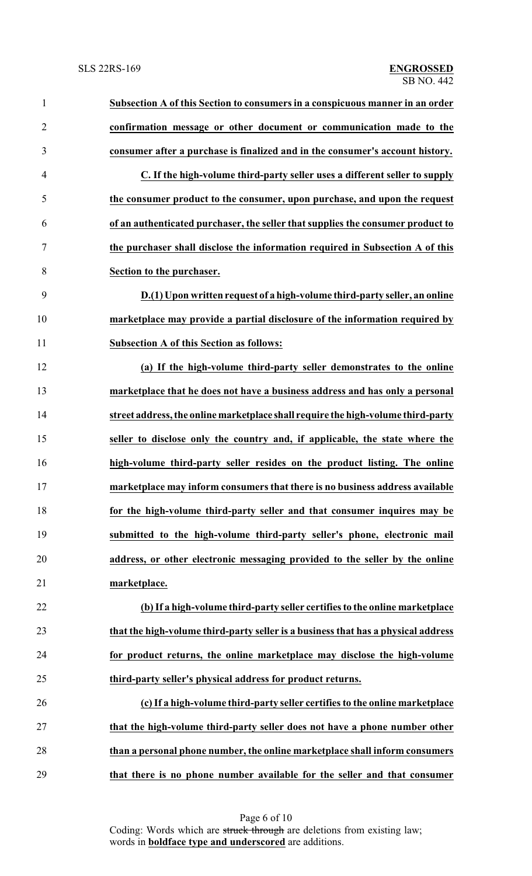| $\mathbf{1}$   | Subsection A of this Section to consumers in a conspicuous manner in an order     |
|----------------|-----------------------------------------------------------------------------------|
| $\overline{2}$ | confirmation message or other document or communication made to the               |
| 3              | consumer after a purchase is finalized and in the consumer's account history.     |
| $\overline{4}$ | C. If the high-volume third-party seller uses a different seller to supply        |
| 5              | the consumer product to the consumer, upon purchase, and upon the request         |
| 6              | of an authenticated purchaser, the seller that supplies the consumer product to   |
| 7              | the purchaser shall disclose the information required in Subsection A of this     |
| 8              | Section to the purchaser.                                                         |
| 9              | D.(1) Upon written request of a high-volume third-party seller, an online         |
| 10             | marketplace may provide a partial disclosure of the information required by       |
| 11             | <b>Subsection A of this Section as follows:</b>                                   |
| 12             | (a) If the high-volume third-party seller demonstrates to the online              |
| 13             | marketplace that he does not have a business address and has only a personal      |
| 14             | street address, the online marketplace shall require the high-volume third-party  |
| 15             | seller to disclose only the country and, if applicable, the state where the       |
| 16             | high-volume third-party seller resides on the product listing. The online         |
| 17             | marketplace may inform consumers that there is no business address available      |
| 18             | for the high-volume third-party seller and that consumer inquires may be          |
| 19             | submitted to the high-volume third-party seller's phone, electronic mail          |
| 20             | address, or other electronic messaging provided to the seller by the online       |
| 21             | marketplace.                                                                      |
| 22             | (b) If a high-volume third-party seller certifies to the online marketplace       |
| 23             | that the high-volume third-party seller is a business that has a physical address |
| 24             | for product returns, the online marketplace may disclose the high-volume          |
| 25             | third-party seller's physical address for product returns.                        |
| 26             | (c) If a high-volume third-party seller certifies to the online marketplace       |
| 27             | that the high-volume third-party seller does not have a phone number other        |
| 28             | than a personal phone number, the online marketplace shall inform consumers       |
| 29             | that there is no phone number available for the seller and that consumer          |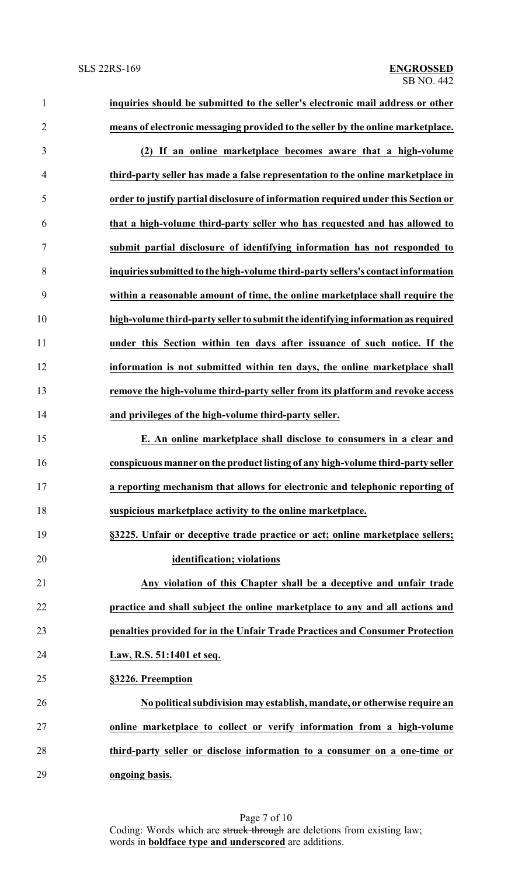| $\mathbf{1}$   | inquiries should be submitted to the seller's electronic mail address or other    |
|----------------|-----------------------------------------------------------------------------------|
| $\overline{2}$ | means of electronic messaging provided to the seller by the online marketplace.   |
| 3              | (2) If an online marketplace becomes aware that a high-volume                     |
| $\overline{4}$ | third-party seller has made a false representation to the online marketplace in   |
| 5              | order to justify partial disclosure of information required under this Section or |
| 6              | that a high-volume third-party seller who has requested and has allowed to        |
| 7              | submit partial disclosure of identifying information has not responded to         |
| 8              | inquiries submitted to the high-volume third-party sellers's contact information  |
| 9              | within a reasonable amount of time, the online marketplace shall require the      |
| 10             | high-volume third-party seller to submit the identifying information as required  |
| 11             | under this Section within ten days after issuance of such notice. If the          |
| 12             | information is not submitted within ten days, the online marketplace shall        |
| 13             | remove the high-volume third-party seller from its platform and revoke access     |
| 14             | and privileges of the high-volume third-party seller.                             |
| 15             | E. An online marketplace shall disclose to consumers in a clear and               |
| 16             | conspicuous manner on the product listing of any high-volume third-party seller   |
| 17             | a reporting mechanism that allows for electronic and telephonic reporting of      |
| 18             | suspicious marketplace activity to the online marketplace.                        |
| 19             | §3225. Unfair or deceptive trade practice or act; online marketplace sellers;     |
| 20             | identification; violations                                                        |
| 21             | Any violation of this Chapter shall be a deceptive and unfair trade               |
| 22             | practice and shall subject the online marketplace to any and all actions and      |
| 23             | penalties provided for in the Unfair Trade Practices and Consumer Protection      |
| 24             | Law, R.S. 51:1401 et seq.                                                         |
| 25             | §3226. Preemption                                                                 |
| 26             | No political subdivision may establish, mandate, or otherwise require an          |
| 27             | online marketplace to collect or verify information from a high-volume            |
| 28             | third-party seller or disclose information to a consumer on a one-time or         |
| 29             | ongoing basis.                                                                    |

Page 7 of 10 Coding: Words which are struck through are deletions from existing law; words in **boldface type and underscored** are additions.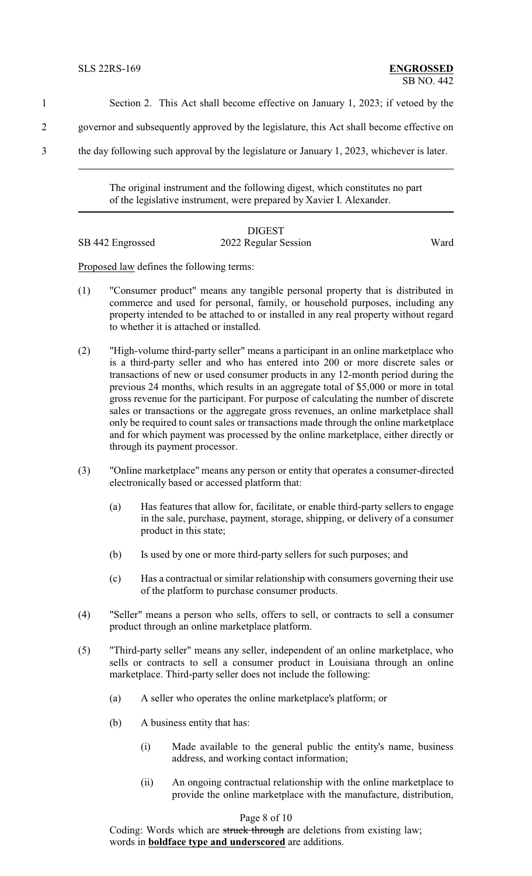1 Section 2. This Act shall become effective on January 1, 2023; if vetoed by the

- 2 governor and subsequently approved by the legislature, this Act shall become effective on
- 3 the day following such approval by the legislature or January 1, 2023, whichever is later.

The original instrument and the following digest, which constitutes no part of the legislative instrument, were prepared by Xavier I. Alexander.

# DIGEST

SB 442 Engrossed 2022 Regular Session Ward

Proposed law defines the following terms:

- (1) "Consumer product" means any tangible personal property that is distributed in commerce and used for personal, family, or household purposes, including any property intended to be attached to or installed in any real property without regard to whether it is attached or installed.
- (2) "High-volume third-party seller" means a participant in an online marketplace who is a third-party seller and who has entered into 200 or more discrete sales or transactions of new or used consumer products in any 12-month period during the previous 24 months, which results in an aggregate total of \$5,000 or more in total gross revenue for the participant. For purpose of calculating the number of discrete sales or transactions or the aggregate gross revenues, an online marketplace shall only be required to count sales or transactions made through the online marketplace and for which payment was processed by the online marketplace, either directly or through its payment processor.
- (3) "Online marketplace" means any person or entity that operates a consumer-directed electronically based or accessed platform that:
	- (a) Has features that allow for, facilitate, or enable third-party sellers to engage in the sale, purchase, payment, storage, shipping, or delivery of a consumer product in this state;
	- (b) Is used by one or more third-party sellers for such purposes; and
	- (c) Has a contractual or similar relationship with consumers governing their use of the platform to purchase consumer products.
- (4) "Seller" means a person who sells, offers to sell, or contracts to sell a consumer product through an online marketplace platform.
- (5) "Third-party seller" means any seller, independent of an online marketplace, who sells or contracts to sell a consumer product in Louisiana through an online marketplace. Third-party seller does not include the following:
	- (a) A seller who operates the online marketplace's platform; or
	- (b) A business entity that has:
		- (i) Made available to the general public the entity's name, business address, and working contact information;
		- (ii) An ongoing contractual relationship with the online marketplace to provide the online marketplace with the manufacture, distribution,

#### Page 8 of 10

Coding: Words which are struck through are deletions from existing law; words in **boldface type and underscored** are additions.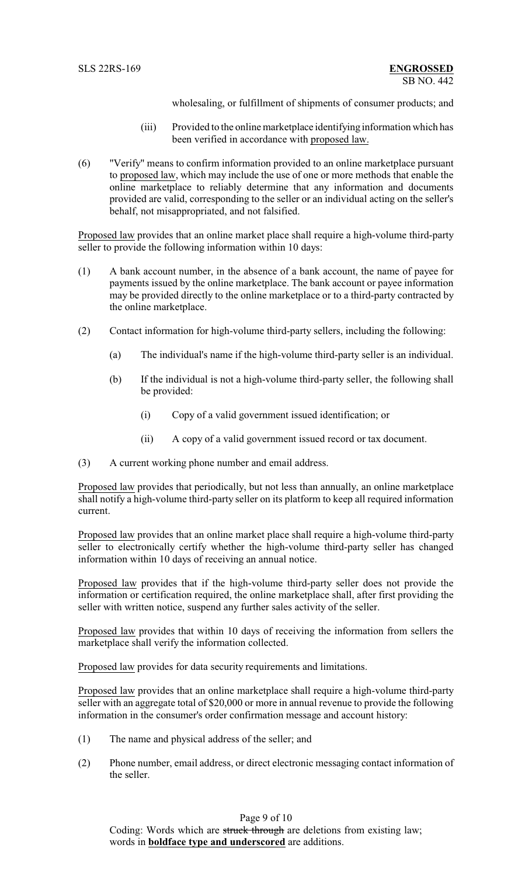wholesaling, or fulfillment of shipments of consumer products; and

- (iii) Provided to the online marketplace identifying information which has been verified in accordance with proposed law.
- (6) "Verify" means to confirm information provided to an online marketplace pursuant to proposed law, which may include the use of one or more methods that enable the online marketplace to reliably determine that any information and documents provided are valid, corresponding to the seller or an individual acting on the seller's behalf, not misappropriated, and not falsified.

Proposed law provides that an online market place shall require a high-volume third-party seller to provide the following information within 10 days:

- (1) A bank account number, in the absence of a bank account, the name of payee for payments issued by the online marketplace. The bank account or payee information may be provided directly to the online marketplace or to a third-party contracted by the online marketplace.
- (2) Contact information for high-volume third-party sellers, including the following:
	- (a) The individual's name if the high-volume third-party seller is an individual.
	- (b) If the individual is not a high-volume third-party seller, the following shall be provided:
		- (i) Copy of a valid government issued identification; or
		- (ii) A copy of a valid government issued record or tax document.
- (3) A current working phone number and email address.

Proposed law provides that periodically, but not less than annually, an online marketplace shall notify a high-volume third-party seller on its platform to keep all required information current.

Proposed law provides that an online market place shall require a high-volume third-party seller to electronically certify whether the high-volume third-party seller has changed information within 10 days of receiving an annual notice.

Proposed law provides that if the high-volume third-party seller does not provide the information or certification required, the online marketplace shall, after first providing the seller with written notice, suspend any further sales activity of the seller.

Proposed law provides that within 10 days of receiving the information from sellers the marketplace shall verify the information collected.

Proposed law provides for data security requirements and limitations.

Proposed law provides that an online marketplace shall require a high-volume third-party seller with an aggregate total of \$20,000 or more in annual revenue to provide the following information in the consumer's order confirmation message and account history:

- (1) The name and physical address of the seller; and
- (2) Phone number, email address, or direct electronic messaging contact information of the seller.

Page 9 of 10

Coding: Words which are struck through are deletions from existing law; words in **boldface type and underscored** are additions.